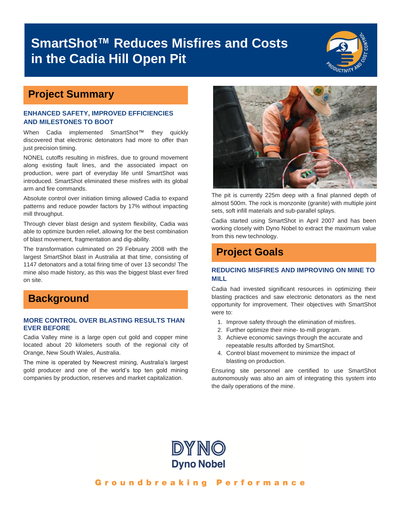# **SmartShot™ Reduces Misfires and Costs in the Cadia Hill Open Pit**



## **Project Summary**

#### **ENHANCED SAFETY, IMPROVED EFFICIENCIES AND MILESTONES TO BOOT**

When Cadia implemented SmartShot™ they quickly discovered that electronic detonators had more to offer than just precision timing.

NONEL cutoffs resulting in misfires, due to ground movement along existing fault lines, and the associated impact on production, were part of everyday life until SmartShot was introduced. SmartShot eliminated these misfires with its global arm and fire commands.

Absolute control over initiation timing allowed Cadia to expand patterns and reduce powder factors by 17% without impacting mill throughput.

Through clever blast design and system flexibility, Cadia was able to optimize burden relief, allowing for the best combination of blast movement, fragmentation and dig-ability.

The transformation culminated on 29 February 2008 with the largest SmartShot blast in Australia at that time, consisting of 1147 detonators and a total firing time of over 13 seconds! The mine also made history, as this was the biggest blast ever fired on site.

## **Background**

#### **MORE CONTROL OVER BLASTING RESULTS THAN EVER BEFORE**

Cadia Valley mine is a large open cut gold and copper mine located about 20 kilometers south of the regional city of Orange, New South Wales, Australia.

The mine is operated by Newcrest mining, Australia's largest gold producer and one of the world's top ten gold mining companies by production, reserves and market capitalization.



The pit is currently 225m deep with a final planned depth of almost 500m. The rock is monzonite (granite) with multiple joint sets, soft infill materials and sub-parallel splays.

Cadia started using SmartShot in April 2007 and has been working closely with Dyno Nobel to extract the maximum value from this new technology.

## **Project Goals**

#### **REDUCING MISFIRES AND IMPROVING ON MINE TO MILL**

Cadia had invested significant resources in optimizing their blasting practices and saw electronic detonators as the next opportunity for improvement. Their objectives with SmartShot were to:

- 1. Improve safety through the elimination of misfires.
- 2. Further optimize their mine- to-mill program.
- 3. Achieve economic savings through the accurate and repeatable results afforded by SmartShot.
- 4. Control blast movement to minimize the impact of blasting on production.

Ensuring site personnel are certified to use SmartShot autonomously was also an aim of integrating this system into the daily operations of the mine.